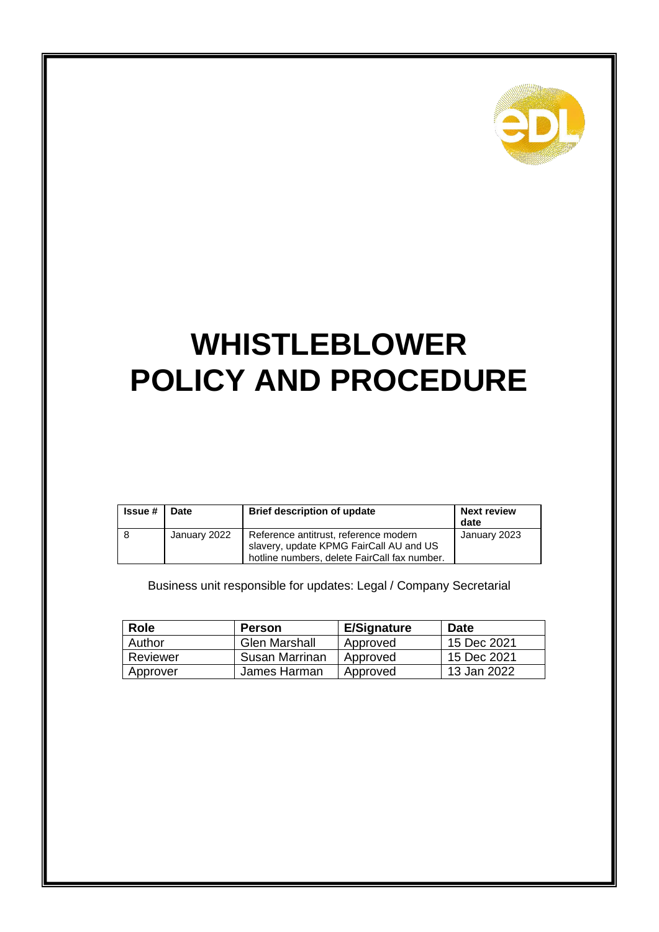

# **WHISTLEBLOWER POLICY AND PROCEDURE**

| <b>Issue</b> # | <b>Date</b>  | <b>Brief description of update</b>                                               | <b>Next review</b><br>date |
|----------------|--------------|----------------------------------------------------------------------------------|----------------------------|
|                | January 2022 | Reference antitrust, reference modern<br>slavery, update KPMG FairCall AU and US | January 2023               |
|                |              | hotline numbers, delete FairCall fax number.                                     |                            |

Business unit responsible for updates: Legal / Company Secretarial

| <b>Role</b> | <b>Person</b>        | <b>E/Signature</b> | <b>Date</b> |
|-------------|----------------------|--------------------|-------------|
| Author      | <b>Glen Marshall</b> | Approved           | 15 Dec 2021 |
| Reviewer    | Susan Marrinan       | Approved           | 15 Dec 2021 |
| Approver    | James Harman         | Approved           | 13 Jan 2022 |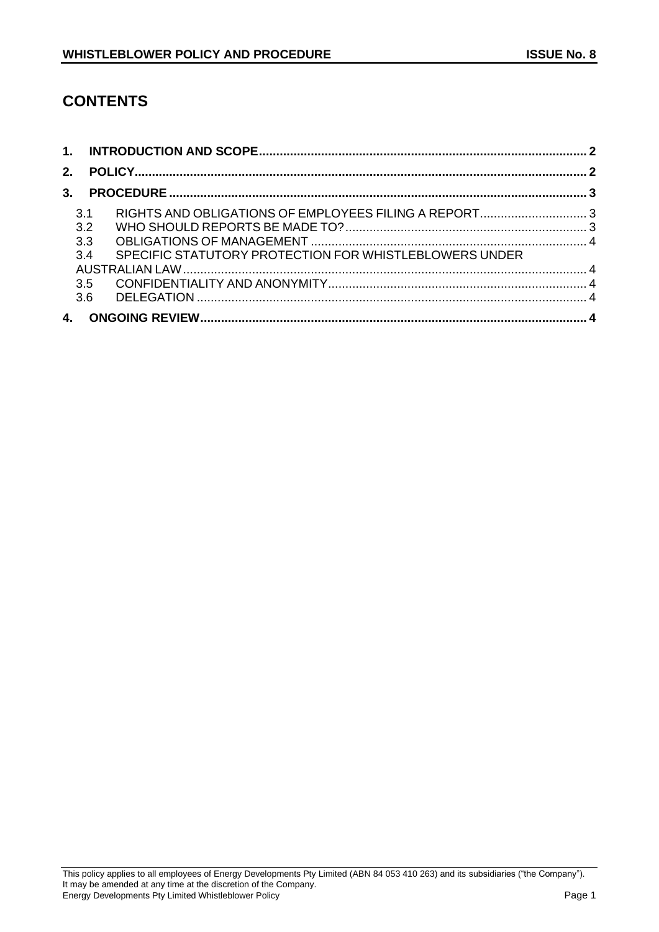# **CONTENTS**

| 2.  |                                                        |  |
|-----|--------------------------------------------------------|--|
| 3.  |                                                        |  |
| 3.1 |                                                        |  |
| 3.2 |                                                        |  |
| 3.3 |                                                        |  |
| 3.4 | SPECIFIC STATUTORY PROTECTION FOR WHISTLEBLOWERS UNDER |  |
|     |                                                        |  |
| 3.5 |                                                        |  |
| 3.6 |                                                        |  |
| 4.  |                                                        |  |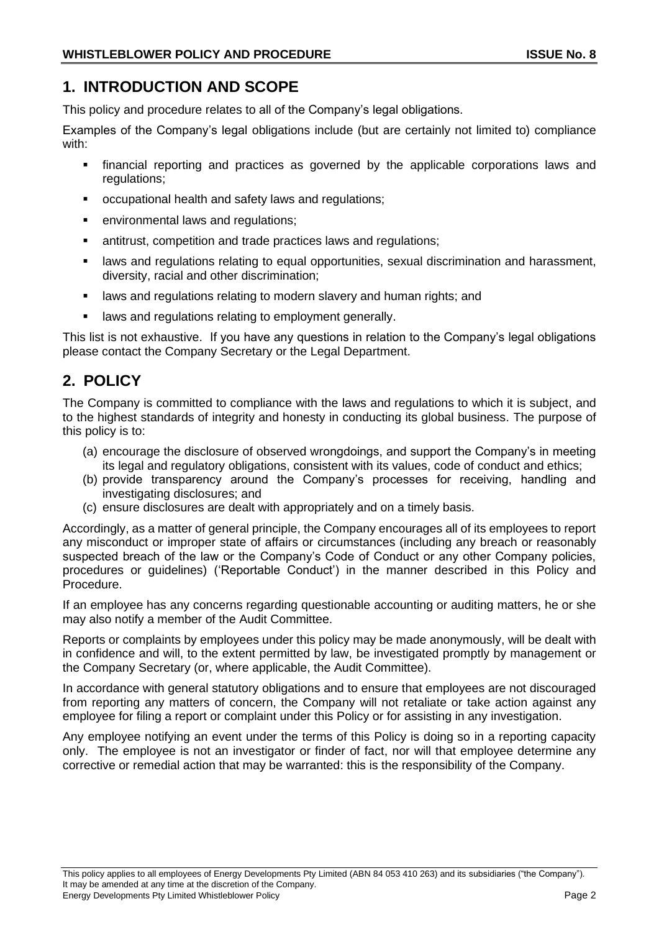# **1. INTRODUCTION AND SCOPE**

This policy and procedure relates to all of the Company's legal obligations.

Examples of the Company's legal obligations include (but are certainly not limited to) compliance with:

- financial reporting and practices as governed by the applicable corporations laws and regulations;
- occupational health and safety laws and regulations;
- environmental laws and regulations;
- antitrust, competition and trade practices laws and regulations;
- **E** laws and regulations relating to equal opportunities, sexual discrimination and harassment, diversity, racial and other discrimination;
- **■** laws and regulations relating to modern slavery and human rights; and
- laws and regulations relating to employment generally.

This list is not exhaustive. If you have any questions in relation to the Company's legal obligations please contact the Company Secretary or the Legal Department.

# **2. POLICY**

The Company is committed to compliance with the laws and regulations to which it is subject, and to the highest standards of integrity and honesty in conducting its global business. The purpose of this policy is to:

- (a) encourage the disclosure of observed wrongdoings, and support the Company's in meeting its legal and regulatory obligations, consistent with its values, code of conduct and ethics;
- (b) provide transparency around the Company's processes for receiving, handling and investigating disclosures; and
- (c) ensure disclosures are dealt with appropriately and on a timely basis.

Accordingly, as a matter of general principle, the Company encourages all of its employees to report any misconduct or improper state of affairs or circumstances (including any breach or reasonably suspected breach of the law or the Company's Code of Conduct or any other Company policies, procedures or guidelines) ('Reportable Conduct') in the manner described in this Policy and Procedure.

If an employee has any concerns regarding questionable accounting or auditing matters, he or she may also notify a member of the Audit Committee.

Reports or complaints by employees under this policy may be made anonymously, will be dealt with in confidence and will, to the extent permitted by law, be investigated promptly by management or the Company Secretary (or, where applicable, the Audit Committee).

In accordance with general statutory obligations and to ensure that employees are not discouraged from reporting any matters of concern, the Company will not retaliate or take action against any employee for filing a report or complaint under this Policy or for assisting in any investigation.

Any employee notifying an event under the terms of this Policy is doing so in a reporting capacity only. The employee is not an investigator or finder of fact, nor will that employee determine any corrective or remedial action that may be warranted: this is the responsibility of the Company.

#### This policy applies to all employees of Energy Developments Pty Limited (ABN 84 053 410 263) and its subsidiaries ("the Company"). It may be amended at any time at the discretion of the Company. Energy Developments Pty Limited Whistleblower Policy Page 2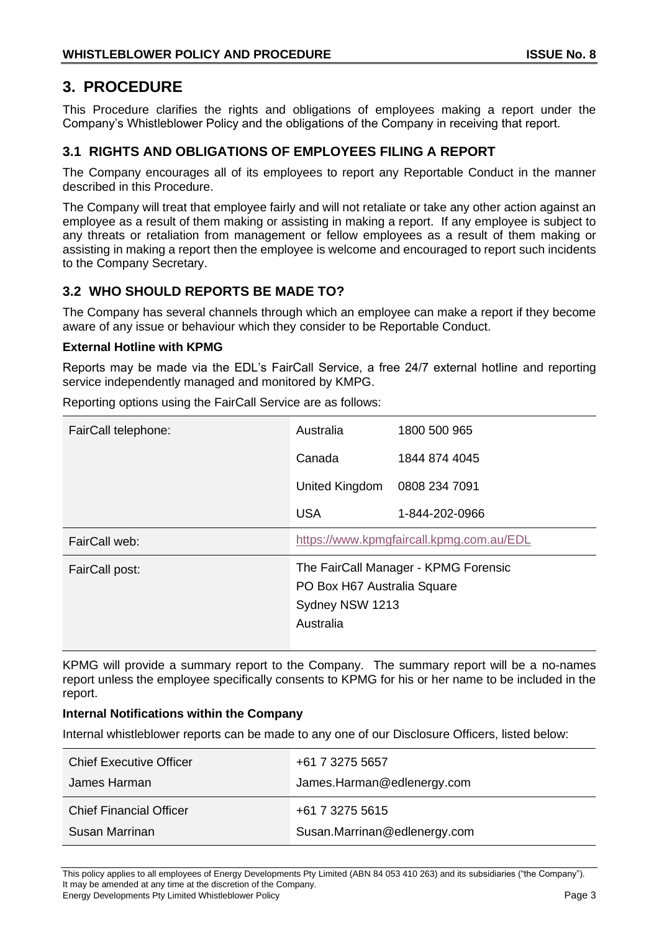# **3. PROCEDURE**

This Procedure clarifies the rights and obligations of employees making a report under the Company's Whistleblower Policy and the obligations of the Company in receiving that report.

# **3.1 RIGHTS AND OBLIGATIONS OF EMPLOYEES FILING A REPORT**

The Company encourages all of its employees to report any Reportable Conduct in the manner described in this Procedure.

The Company will treat that employee fairly and will not retaliate or take any other action against an employee as a result of them making or assisting in making a report. If any employee is subject to any threats or retaliation from management or fellow employees as a result of them making or assisting in making a report then the employee is welcome and encouraged to report such incidents to the Company Secretary.

## **3.2 WHO SHOULD REPORTS BE MADE TO?**

The Company has several channels through which an employee can make a report if they become aware of any issue or behaviour which they consider to be Reportable Conduct.

## **External Hotline with KPMG**

Reports may be made via the EDL's FairCall Service, a free 24/7 external hotline and reporting service independently managed and monitored by KMPG.

| FairCall telephone: | Australia                                | 1800 500 965                         |
|---------------------|------------------------------------------|--------------------------------------|
|                     | Canada                                   | 1844 874 4045                        |
|                     | United Kingdom                           | 0808 234 7091                        |
|                     | <b>USA</b>                               | 1-844-202-0966                       |
| FairCall web:       | https://www.kpmgfaircall.kpmg.com.au/EDL |                                      |
| FairCall post:      |                                          | The FairCall Manager - KPMG Forensic |
|                     | PO Box H67 Australia Square              |                                      |
|                     | Sydney NSW 1213                          |                                      |
|                     | Australia                                |                                      |
|                     |                                          |                                      |

Reporting options using the FairCall Service are as follows:

KPMG will provide a summary report to the Company. The summary report will be a no-names report unless the employee specifically consents to KPMG for his or her name to be included in the report.

## **Internal Notifications within the Company**

Internal whistleblower reports can be made to any one of our Disclosure Officers, listed below:

| <b>Chief Executive Officer</b> | +61 7 3275 5657              |
|--------------------------------|------------------------------|
| James Harman                   | James.Harman@edlenergy.com   |
| <b>Chief Financial Officer</b> | +61 7 3275 5615              |
| Susan Marrinan                 | Susan.Marrinan@edlenergy.com |

This policy applies to all employees of Energy Developments Pty Limited (ABN 84 053 410 263) and its subsidiaries ("the Company"). It may be amended at any time at the discretion of the Company. Energy Developments Pty Limited Whistleblower Policy Page 3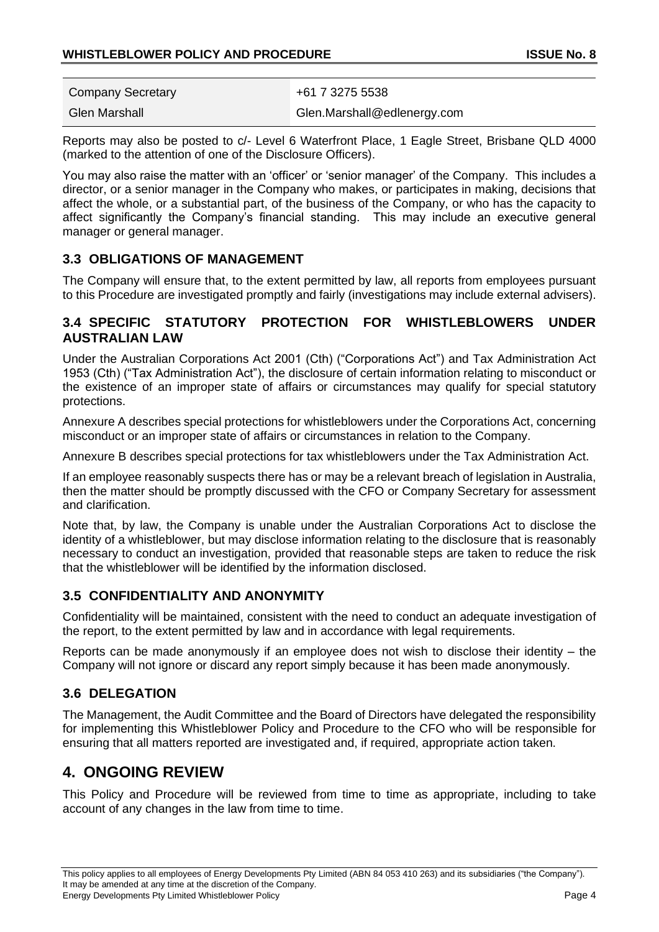| <b>Company Secretary</b> | +61 7 3275 5538             |
|--------------------------|-----------------------------|
| Glen Marshall            | Glen.Marshall@edlenergy.com |

Reports may also be posted to c/- Level 6 Waterfront Place, 1 Eagle Street, Brisbane QLD 4000 (marked to the attention of one of the Disclosure Officers).

You may also raise the matter with an 'officer' or 'senior manager' of the Company. This includes a director, or a senior manager in the Company who makes, or participates in making, decisions that affect the whole, or a substantial part, of the business of the Company, or who has the capacity to affect significantly the Company's financial standing. This may include an executive general manager or general manager.

# **3.3 OBLIGATIONS OF MANAGEMENT**

The Company will ensure that, to the extent permitted by law, all reports from employees pursuant to this Procedure are investigated promptly and fairly (investigations may include external advisers).

## **3.4 SPECIFIC STATUTORY PROTECTION FOR WHISTLEBLOWERS UNDER AUSTRALIAN LAW**

Under the Australian Corporations Act 2001 (Cth) ("Corporations Act") and Tax Administration Act 1953 (Cth) ("Tax Administration Act"), the disclosure of certain information relating to misconduct or the existence of an improper state of affairs or circumstances may qualify for special statutory protections.

Annexure A describes special protections for whistleblowers under the Corporations Act, concerning misconduct or an improper state of affairs or circumstances in relation to the Company.

Annexure B describes special protections for tax whistleblowers under the Tax Administration Act.

If an employee reasonably suspects there has or may be a relevant breach of legislation in Australia, then the matter should be promptly discussed with the CFO or Company Secretary for assessment and clarification.

Note that, by law, the Company is unable under the Australian Corporations Act to disclose the identity of a whistleblower, but may disclose information relating to the disclosure that is reasonably necessary to conduct an investigation, provided that reasonable steps are taken to reduce the risk that the whistleblower will be identified by the information disclosed.

# **3.5 CONFIDENTIALITY AND ANONYMITY**

Confidentiality will be maintained, consistent with the need to conduct an adequate investigation of the report, to the extent permitted by law and in accordance with legal requirements.

Reports can be made anonymously if an employee does not wish to disclose their identity – the Company will not ignore or discard any report simply because it has been made anonymously.

# **3.6 DELEGATION**

The Management, the Audit Committee and the Board of Directors have delegated the responsibility for implementing this Whistleblower Policy and Procedure to the CFO who will be responsible for ensuring that all matters reported are investigated and, if required, appropriate action taken.

# **4. ONGOING REVIEW**

This Policy and Procedure will be reviewed from time to time as appropriate, including to take account of any changes in the law from time to time.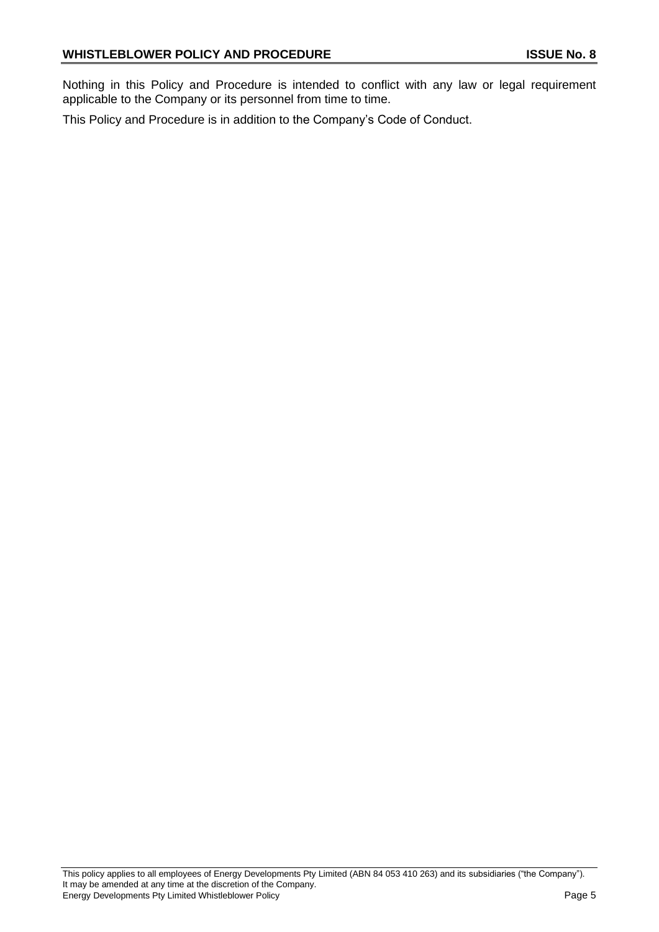Nothing in this Policy and Procedure is intended to conflict with any law or legal requirement applicable to the Company or its personnel from time to time.

This Policy and Procedure is in addition to the Company's Code of Conduct.

This policy applies to all employees of Energy Developments Pty Limited (ABN 84 053 410 263) and its subsidiaries ("the Company"). It may be amended at any time at the discretion of the Company. Energy Developments Pty Limited Whistleblower Policy **Page 5** Page 5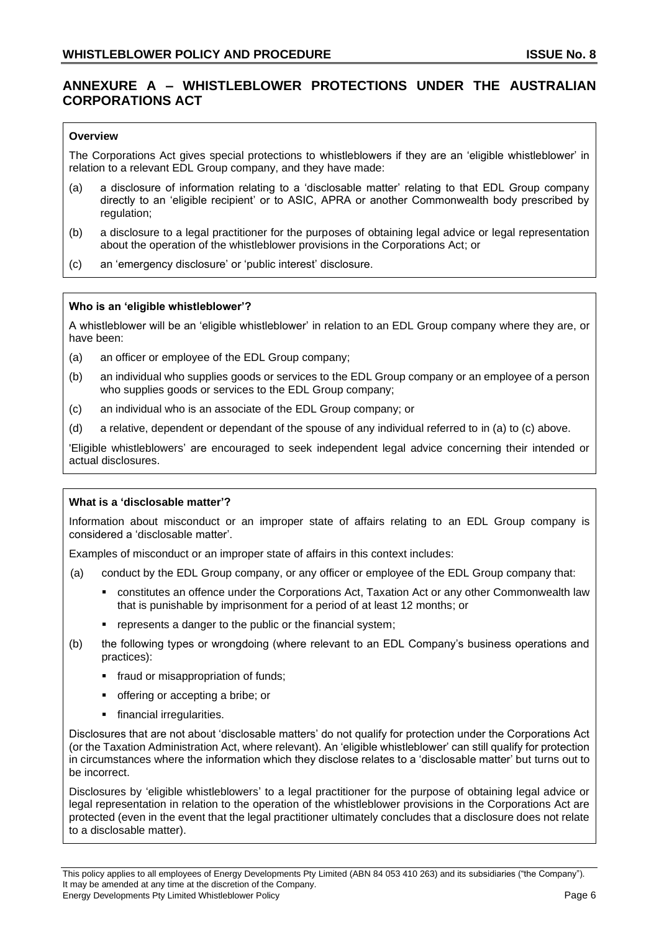## **ANNEXURE A – WHISTLEBLOWER PROTECTIONS UNDER THE AUSTRALIAN CORPORATIONS ACT**

#### **Overview**

The Corporations Act gives special protections to whistleblowers if they are an 'eligible whistleblower' in relation to a relevant EDL Group company, and they have made:

- (a) a disclosure of information relating to a 'disclosable matter' relating to that EDL Group company directly to an 'eligible recipient' or to ASIC, APRA or another Commonwealth body prescribed by regulation;
- (b) a disclosure to a legal practitioner for the purposes of obtaining legal advice or legal representation about the operation of the whistleblower provisions in the Corporations Act; or
- (c) an 'emergency disclosure' or 'public interest' disclosure.

#### **Who is an 'eligible whistleblower'?**

A whistleblower will be an 'eligible whistleblower' in relation to an EDL Group company where they are, or have been:

- (a) an officer or employee of the EDL Group company;
- (b) an individual who supplies goods or services to the EDL Group company or an employee of a person who supplies goods or services to the EDL Group company;
- (c) an individual who is an associate of the EDL Group company; or
- (d) a relative, dependent or dependant of the spouse of any individual referred to in (a) to (c) above.

'Eligible whistleblowers' are encouraged to seek independent legal advice concerning their intended or actual disclosures.

#### **What is a 'disclosable matter'?**

Information about misconduct or an improper state of affairs relating to an EDL Group company is considered a 'disclosable matter'.

Examples of misconduct or an improper state of affairs in this context includes:

- (a) conduct by the EDL Group company, or any officer or employee of the EDL Group company that:
	- **constitutes an offence under the Corporations Act, Taxation Act or any other Commonwealth law** that is punishable by imprisonment for a period of at least 12 months; or
	- represents a danger to the public or the financial system;
- (b) the following types or wrongdoing (where relevant to an EDL Company's business operations and practices):
	- **■** fraud or misappropriation of funds;
	- offering or accepting a bribe; or
	- **·** financial irregularities.

Disclosures that are not about 'disclosable matters' do not qualify for protection under the Corporations Act (or the Taxation Administration Act, where relevant). An 'eligible whistleblower' can still qualify for protection in circumstances where the information which they disclose relates to a 'disclosable matter' but turns out to be incorrect.

Disclosures by 'eligible whistleblowers' to a legal practitioner for the purpose of obtaining legal advice or legal representation in relation to the operation of the whistleblower provisions in the Corporations Act are protected (even in the event that the legal practitioner ultimately concludes that a disclosure does not relate to a disclosable matter).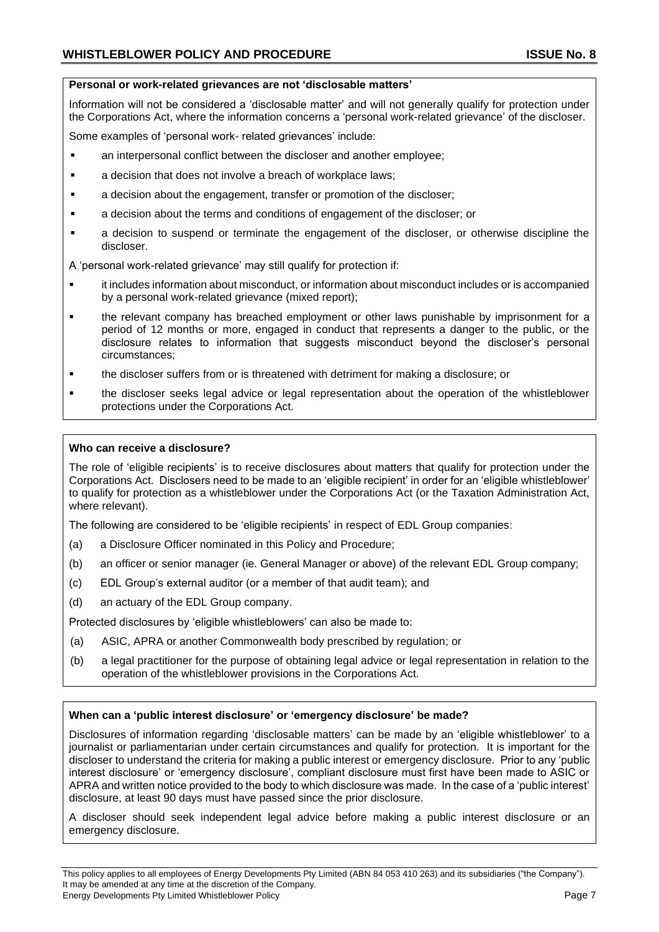#### **Personal or work-related grievances are not 'disclosable matters'**

Information will not be considered a 'disclosable matter' and will not generally qualify for protection under the Corporations Act, where the information concerns a 'personal work-related grievance' of the discloser.

Some examples of 'personal work- related grievances' include:

- an interpersonal conflict between the discloser and another employee;
- a decision that does not involve a breach of workplace laws;
- a decision about the engagement, transfer or promotion of the discloser;
- a decision about the terms and conditions of engagement of the discloser; or
- a decision to suspend or terminate the engagement of the discloser, or otherwise discipline the discloser.

A 'personal work-related grievance' may still qualify for protection if:

- it includes information about misconduct, or information about misconduct includes or is accompanied by a personal work-related grievance (mixed report);
- the relevant company has breached employment or other laws punishable by imprisonment for a period of 12 months or more, engaged in conduct that represents a danger to the public, or the disclosure relates to information that suggests misconduct beyond the discloser's personal circumstances;
- **•** the discloser suffers from or is threatened with detriment for making a disclosure; or
- the discloser seeks legal advice or legal representation about the operation of the whistleblower protections under the Corporations Act.

#### **Who can receive a disclosure?**

The role of 'eligible recipients' is to receive disclosures about matters that qualify for protection under the Corporations Act. Disclosers need to be made to an 'eligible recipient' in order for an 'eligible whistleblower' to qualify for protection as a whistleblower under the Corporations Act (or the Taxation Administration Act, where relevant).

The following are considered to be 'eligible recipients' in respect of EDL Group companies:

- (a) a Disclosure Officer nominated in this Policy and Procedure;
- (b) an officer or senior manager (ie. General Manager or above) of the relevant EDL Group company;
- (c) EDL Group's external auditor (or a member of that audit team); and
- (d) an actuary of the EDL Group company.

Protected disclosures by 'eligible whistleblowers' can also be made to:

- (a) ASIC, APRA or another Commonwealth body prescribed by regulation; or
- (b) a legal practitioner for the purpose of obtaining legal advice or legal representation in relation to the operation of the whistleblower provisions in the Corporations Act.

#### **When can a 'public interest disclosure' or 'emergency disclosure' be made?**

Disclosures of information regarding 'disclosable matters' can be made by an 'eligible whistleblower' to a journalist or parliamentarian under certain circumstances and qualify for protection. It is important for the discloser to understand the criteria for making a public interest or emergency disclosure. Prior to any 'public interest disclosure' or 'emergency disclosure', compliant disclosure must first have been made to ASIC or APRA and written notice provided to the body to which disclosure was made. In the case of a 'public interest' disclosure, at least 90 days must have passed since the prior disclosure.

A discloser should seek independent legal advice before making a public interest disclosure or an emergency disclosure.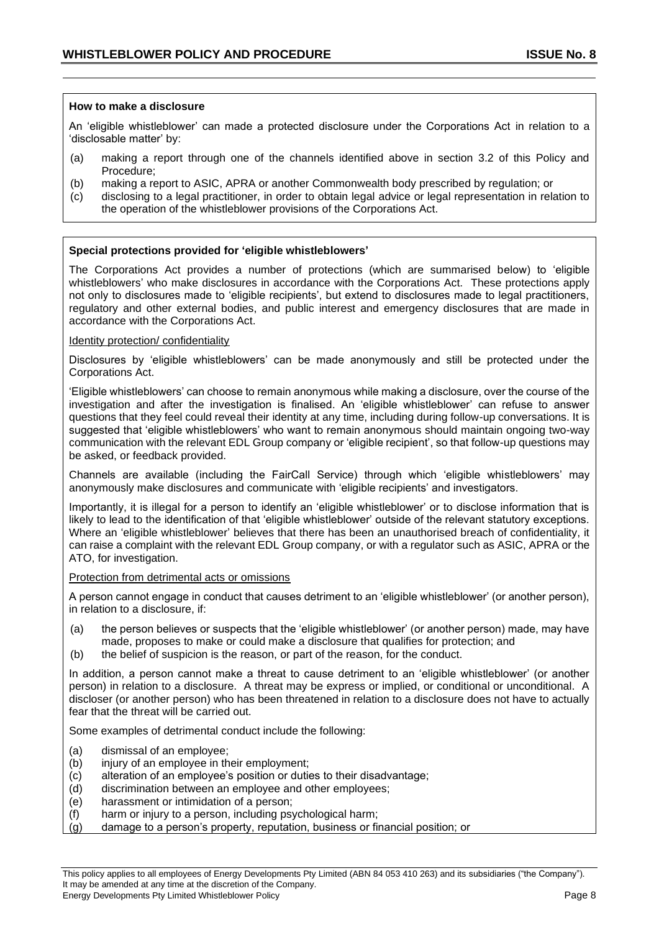#### **How to make a disclosure**

An 'eligible whistleblower' can made a protected disclosure under the Corporations Act in relation to a 'disclosable matter' by:

- (a) making a report through one of the channels identified above in section 3.2 of this Policy and Procedure;
- (b) making a report to ASIC, APRA or another Commonwealth body prescribed by regulation; or
- (c) disclosing to a legal practitioner, in order to obtain legal advice or legal representation in relation to the operation of the whistleblower provisions of the Corporations Act.

#### **Special protections provided for 'eligible whistleblowers'**

The Corporations Act provides a number of protections (which are summarised below) to 'eligible whistleblowers' who make disclosures in accordance with the Corporations Act. These protections apply not only to disclosures made to 'eligible recipients', but extend to disclosures made to legal practitioners, regulatory and other external bodies, and public interest and emergency disclosures that are made in accordance with the Corporations Act.

#### Identity protection/ confidentiality

Disclosures by 'eligible whistleblowers' can be made anonymously and still be protected under the Corporations Act.

'Eligible whistleblowers' can choose to remain anonymous while making a disclosure, over the course of the investigation and after the investigation is finalised. An 'eligible whistleblower' can refuse to answer questions that they feel could reveal their identity at any time, including during follow-up conversations. It is suggested that 'eligible whistleblowers' who want to remain anonymous should maintain ongoing two-way communication with the relevant EDL Group company or 'eligible recipient', so that follow-up questions may be asked, or feedback provided.

Channels are available (including the FairCall Service) through which 'eligible whistleblowers' may anonymously make disclosures and communicate with 'eligible recipients' and investigators.

Importantly, it is illegal for a person to identify an 'eligible whistleblower' or to disclose information that is likely to lead to the identification of that 'eligible whistleblower' outside of the relevant statutory exceptions. Where an 'eligible whistleblower' believes that there has been an unauthorised breach of confidentiality, it can raise a complaint with the relevant EDL Group company, or with a regulator such as ASIC, APRA or the ATO, for investigation.

#### Protection from detrimental acts or omissions

A person cannot engage in conduct that causes detriment to an 'eligible whistleblower' (or another person), in relation to a disclosure, if:

- (a) the person believes or suspects that the 'eligible whistleblower' (or another person) made, may have made, proposes to make or could make a disclosure that qualifies for protection; and
- (b) the belief of suspicion is the reason, or part of the reason, for the conduct.

In addition, a person cannot make a threat to cause detriment to an 'eligible whistleblower' (or another person) in relation to a disclosure. A threat may be express or implied, or conditional or unconditional. A discloser (or another person) who has been threatened in relation to a disclosure does not have to actually fear that the threat will be carried out.

Some examples of detrimental conduct include the following:

- (a) dismissal of an employee;
- (b) injury of an employee in their employment;
- (c) alteration of an employee's position or duties to their disadvantage;
- (d) discrimination between an employee and other employees;
- (e) harassment or intimidation of a person;
- (f) harm or injury to a person, including psychological harm;
- (g) damage to a person's property, reputation, business or financial position; or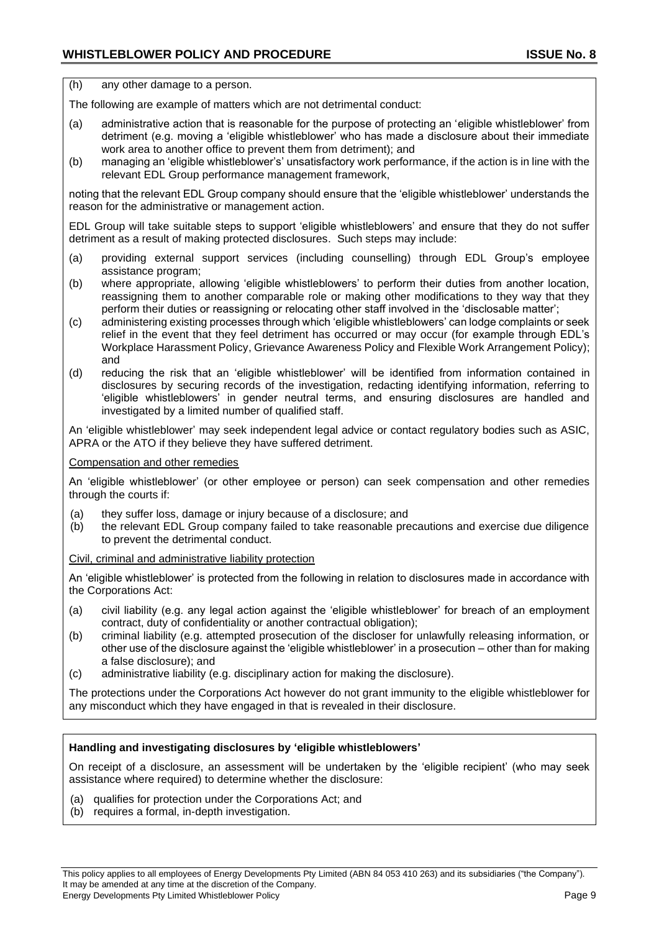(h) any other damage to a person.

The following are example of matters which are not detrimental conduct:

- (a) administrative action that is reasonable for the purpose of protecting an 'eligible whistleblower' from detriment (e.g. moving a 'eligible whistleblower' who has made a disclosure about their immediate work area to another office to prevent them from detriment); and
- (b) managing an 'eligible whistleblower's' unsatisfactory work performance, if the action is in line with the relevant EDL Group performance management framework,

noting that the relevant EDL Group company should ensure that the 'eligible whistleblower' understands the reason for the administrative or management action.

EDL Group will take suitable steps to support 'eligible whistleblowers' and ensure that they do not suffer detriment as a result of making protected disclosures. Such steps may include:

- (a) providing external support services (including counselling) through EDL Group's employee assistance program;
- (b) where appropriate, allowing 'eligible whistleblowers' to perform their duties from another location, reassigning them to another comparable role or making other modifications to they way that they perform their duties or reassigning or relocating other staff involved in the 'disclosable matter';
- (c) administering existing processes through which 'eligible whistleblowers' can lodge complaints or seek relief in the event that they feel detriment has occurred or may occur (for example through EDL's Workplace Harassment Policy, Grievance Awareness Policy and Flexible Work Arrangement Policy); and
- (d) reducing the risk that an 'eligible whistleblower' will be identified from information contained in disclosures by securing records of the investigation, redacting identifying information, referring to 'eligible whistleblowers' in gender neutral terms, and ensuring disclosures are handled and investigated by a limited number of qualified staff.

An 'eligible whistleblower' may seek independent legal advice or contact regulatory bodies such as ASIC, APRA or the ATO if they believe they have suffered detriment.

Compensation and other remedies

An 'eligible whistleblower' (or other employee or person) can seek compensation and other remedies through the courts if:

- (a) they suffer loss, damage or injury because of a disclosure; and
- (b) the relevant EDL Group company failed to take reasonable precautions and exercise due diligence to prevent the detrimental conduct.

Civil, criminal and administrative liability protection

An 'eligible whistleblower' is protected from the following in relation to disclosures made in accordance with the Corporations Act:

- (a) civil liability (e.g. any legal action against the 'eligible whistleblower' for breach of an employment contract, duty of confidentiality or another contractual obligation);
- (b) criminal liability (e.g. attempted prosecution of the discloser for unlawfully releasing information, or other use of the disclosure against the 'eligible whistleblower' in a prosecution – other than for making a false disclosure); and
- (c) administrative liability (e.g. disciplinary action for making the disclosure).

The protections under the Corporations Act however do not grant immunity to the eligible whistleblower for any misconduct which they have engaged in that is revealed in their disclosure.

#### **Handling and investigating disclosures by 'eligible whistleblowers'**

On receipt of a disclosure, an assessment will be undertaken by the 'eligible recipient' (who may seek assistance where required) to determine whether the disclosure:

- (a) qualifies for protection under the Corporations Act; and
- (b) requires a formal, in-depth investigation.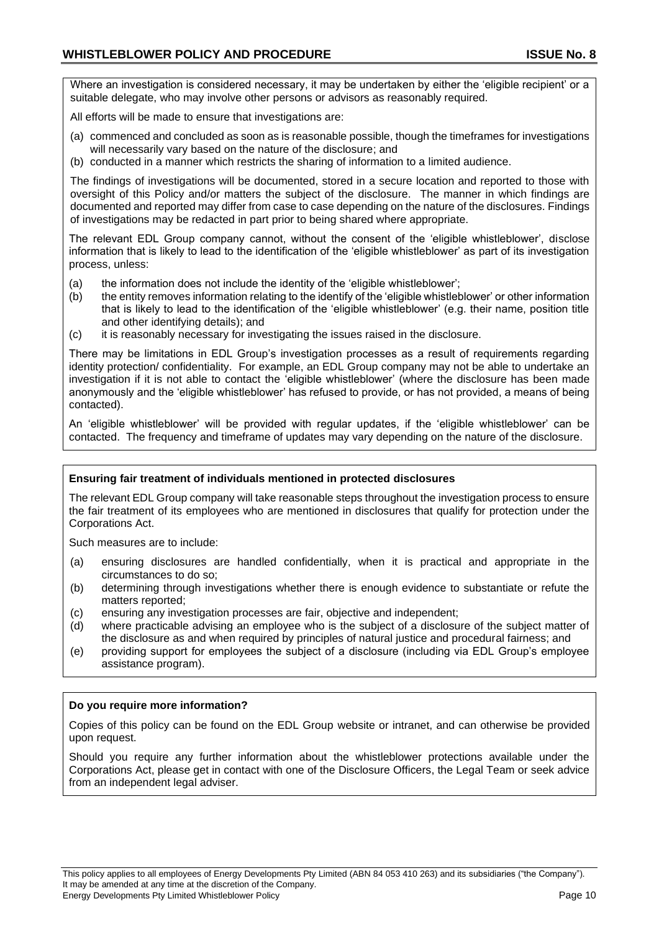Where an investigation is considered necessary, it may be undertaken by either the 'eligible recipient' or a suitable delegate, who may involve other persons or advisors as reasonably required.

All efforts will be made to ensure that investigations are:

- (a) commenced and concluded as soon as is reasonable possible, though the timeframes for investigations will necessarily vary based on the nature of the disclosure; and
- (b) conducted in a manner which restricts the sharing of information to a limited audience.

The findings of investigations will be documented, stored in a secure location and reported to those with oversight of this Policy and/or matters the subject of the disclosure. The manner in which findings are documented and reported may differ from case to case depending on the nature of the disclosures. Findings of investigations may be redacted in part prior to being shared where appropriate.

The relevant EDL Group company cannot, without the consent of the 'eligible whistleblower', disclose information that is likely to lead to the identification of the 'eligible whistleblower' as part of its investigation process, unless:

- (a) the information does not include the identity of the 'eligible whistleblower';
- (b) the entity removes information relating to the identify of the 'eligible whistleblower' or other information that is likely to lead to the identification of the 'eligible whistleblower' (e.g. their name, position title and other identifying details); and
- (c) it is reasonably necessary for investigating the issues raised in the disclosure.

There may be limitations in EDL Group's investigation processes as a result of requirements regarding identity protection/ confidentiality. For example, an EDL Group company may not be able to undertake an investigation if it is not able to contact the 'eligible whistleblower' (where the disclosure has been made anonymously and the 'eligible whistleblower' has refused to provide, or has not provided, a means of being contacted).

An 'eligible whistleblower' will be provided with regular updates, if the 'eligible whistleblower' can be contacted. The frequency and timeframe of updates may vary depending on the nature of the disclosure.

#### **Ensuring fair treatment of individuals mentioned in protected disclosures**

The relevant EDL Group company will take reasonable steps throughout the investigation process to ensure the fair treatment of its employees who are mentioned in disclosures that qualify for protection under the Corporations Act.

Such measures are to include:

- (a) ensuring disclosures are handled confidentially, when it is practical and appropriate in the circumstances to do so;
- (b) determining through investigations whether there is enough evidence to substantiate or refute the matters reported;
- (c) ensuring any investigation processes are fair, objective and independent;
- (d) where practicable advising an employee who is the subject of a disclosure of the subject matter of the disclosure as and when required by principles of natural justice and procedural fairness; and
- (e) providing support for employees the subject of a disclosure (including via EDL Group's employee assistance program).

#### **Do you require more information?**

Copies of this policy can be found on the EDL Group website or intranet, and can otherwise be provided upon request.

Should you require any further information about the whistleblower protections available under the Corporations Act, please get in contact with one of the Disclosure Officers, the Legal Team or seek advice from an independent legal adviser.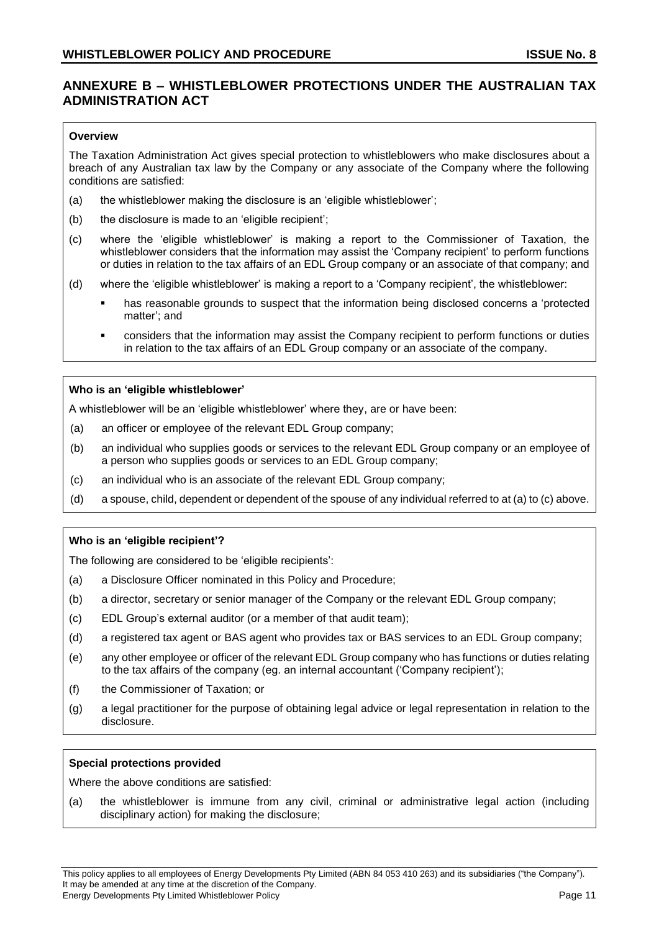## **ANNEXURE B – WHISTLEBLOWER PROTECTIONS UNDER THE AUSTRALIAN TAX ADMINISTRATION ACT**

#### **Overview**

The Taxation Administration Act gives special protection to whistleblowers who make disclosures about a breach of any Australian tax law by the Company or any associate of the Company where the following conditions are satisfied:

- (a) the whistleblower making the disclosure is an 'eligible whistleblower';
- (b) the disclosure is made to an 'eligible recipient';
- (c) where the 'eligible whistleblower' is making a report to the Commissioner of Taxation, the whistleblower considers that the information may assist the 'Company recipient' to perform functions or duties in relation to the tax affairs of an EDL Group company or an associate of that company; and
- (d) where the 'eligible whistleblower' is making a report to a 'Company recipient', the whistleblower:
	- has reasonable grounds to suspect that the information being disclosed concerns a 'protected matter'; and
	- considers that the information may assist the Company recipient to perform functions or duties in relation to the tax affairs of an EDL Group company or an associate of the company.

#### **Who is an 'eligible whistleblower'**

A whistleblower will be an 'eligible whistleblower' where they, are or have been:

- (a) an officer or employee of the relevant EDL Group company;
- (b) an individual who supplies goods or services to the relevant EDL Group company or an employee of a person who supplies goods or services to an EDL Group company;
- (c) an individual who is an associate of the relevant EDL Group company;
- (d) a spouse, child, dependent or dependent of the spouse of any individual referred to at (a) to (c) above.

#### **Who is an 'eligible recipient'?**

The following are considered to be 'eligible recipients':

- (a) a Disclosure Officer nominated in this Policy and Procedure;
- (b) a director, secretary or senior manager of the Company or the relevant EDL Group company;
- (c) EDL Group's external auditor (or a member of that audit team);
- (d) a registered tax agent or BAS agent who provides tax or BAS services to an EDL Group company;
- (e) any other employee or officer of the relevant EDL Group company who has functions or duties relating to the tax affairs of the company (eg. an internal accountant ('Company recipient');
- (f) the Commissioner of Taxation; or
- (g) a legal practitioner for the purpose of obtaining legal advice or legal representation in relation to the disclosure.

#### **Special protections provided**

Where the above conditions are satisfied:

(a) the whistleblower is immune from any civil, criminal or administrative legal action (including disciplinary action) for making the disclosure;